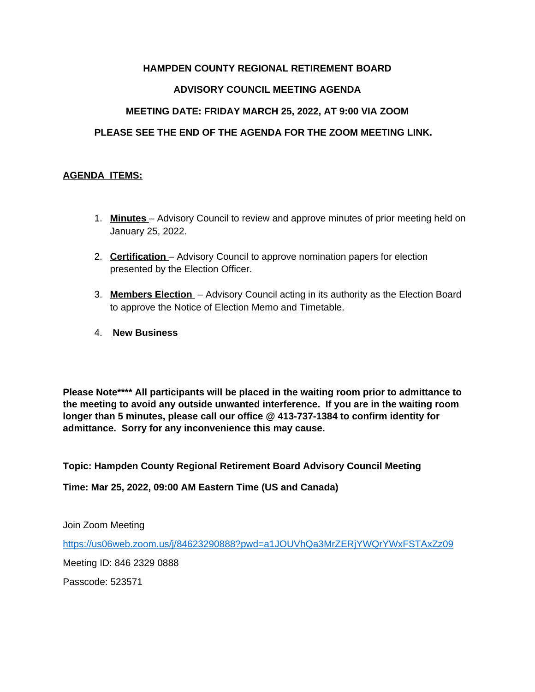# **HAMPDEN COUNTY REGIONAL RETIREMENT BOARD**

# **ADVISORY COUNCIL MEETING AGENDA**

# **MEETING DATE: FRIDAY MARCH 25, 2022, AT 9:00 VIA ZOOM**

# **PLEASE SEE THE END OF THE AGENDA FOR THE ZOOM MEETING LINK.**

### **AGENDA ITEMS:**

- 1. **Minutes**  Advisory Council to review and approve minutes of prior meeting held on January 25, 2022.
- 2. **Certification**  Advisory Council to approve nomination papers for election presented by the Election Officer.
- 3. **Members Election**  Advisory Council acting in its authority as the Election Board to approve the Notice of Election Memo and Timetable.
- 4. **New Business**

**Please Note\*\*\*\* All participants will be placed in the waiting room prior to admittance to the meeting to avoid any outside unwanted interference. If you are in the waiting room longer than 5 minutes, please call our office @ 413-737-1384 to confirm identity for admittance. Sorry for any inconvenience this may cause.** 

**Topic: Hampden County Regional Retirement Board Advisory Council Meeting**

**Time: Mar 25, 2022, 09:00 AM Eastern Time (US and Canada)**

Join Zoom Meeting

<https://us06web.zoom.us/j/84623290888?pwd=a1JOUVhQa3MrZERjYWQrYWxFSTAxZz09>

Meeting ID: 846 2329 0888

Passcode: 523571